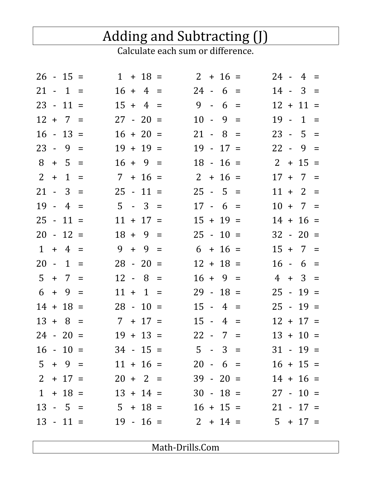## Adding and Subtracting (J)<br>Calculate each sum or difference.

|                |     | $26 - 15 =$  |             | $1 + 18 =$                    |     | $2 + 16 =$  |       |             |             | $24 - 4 =$  |  |
|----------------|-----|--------------|-------------|-------------------------------|-----|-------------|-------|-------------|-------------|-------------|--|
|                |     | $21 - 1 =$   |             | $16 + 4 =$                    |     | $24 - 6 =$  |       |             |             | $14 - 3 =$  |  |
|                |     | $23 - 11 =$  |             | $15 + 4 =$                    |     | $9 - 6 =$   |       |             |             | $12 + 11 =$ |  |
|                |     | $12 + 7 =$   |             | $27 - 20 =$                   |     | $10 -$      | $9 =$ |             |             | $19 - 1 =$  |  |
|                |     | $16 - 13 =$  |             | $16 + 20 =$                   |     | $21 - 8 =$  |       |             |             | $23 - 5 =$  |  |
|                |     | 23 - 9       | $=$         | $19 + 19 =$                   |     | $19 - 17 =$ |       |             |             | $22 - 9 =$  |  |
| 8              |     | $+ 5 =$      |             | $16 + 9 =$                    |     | $18 - 16 =$ |       |             |             | $2 + 15 =$  |  |
| 2 <sup>1</sup> | $+$ | $\mathbf{1}$ | $\equiv$    | $7 + 16 =$                    |     | $2 + 16 =$  |       |             |             | $17 + 7 =$  |  |
|                |     | $21 - 3 =$   |             | $25 - 11 =$                   |     | $25 - 5 =$  |       |             |             | $11 + 2 =$  |  |
|                |     | $19 - 4 =$   |             | $5 - 3 =$                     |     | $17 - 6 =$  |       |             |             | $10 + 7 =$  |  |
|                |     | $25 - 11 =$  |             | $11 + 17 =$                   |     | $15 + 19 =$ |       |             |             | $14 + 16 =$ |  |
|                |     | $20 - 12 =$  |             | $18 + 9 =$                    |     | $25 - 10 =$ |       |             |             | $32 - 20 =$ |  |
|                |     | $1 + 4 =$    |             | $9 + 9 =$                     |     | $6 + 16 =$  |       |             |             | $15 + 7 =$  |  |
|                |     | $20 - 1$     | $=$         | $28 - 20 =$                   |     | $12 + 18 =$ |       |             |             | $16 - 6 =$  |  |
|                |     | $5 + 7 =$    |             | 12 - 8                        | $=$ | $16 + 9 =$  |       |             |             | $4 + 3 =$   |  |
|                |     | $6 + 9 =$    |             | $11 + 1 =$                    |     | $29 - 18 =$ |       |             |             | $25 - 19 =$ |  |
|                |     | $14 + 18 =$  |             | $28 - 10 =$                   |     | $15 - 4 =$  |       |             |             | $25 - 19 =$ |  |
|                |     | $13 + 8 =$   |             | $7 + 17 =$                    |     | $15 -$      | $4 =$ |             |             | $12 + 17 =$ |  |
|                |     | $24 - 20 =$  |             | $19 + 13 =$                   |     | $22 - 7 =$  |       |             |             | $13 + 10 =$ |  |
|                |     |              | $16 - 10 =$ | $34 - 15 =$                   |     | $5 - 3 =$   |       |             | $31 - 19 =$ |             |  |
|                |     |              | $5 + 9 =$   | $11 + 16 =$                   |     | $20 - 6 =$  |       |             |             | $16 + 15 =$ |  |
|                |     |              |             | $2 + 17 = 20 + 2 =$           |     | $39 - 20 =$ |       |             |             | $14 + 16 =$ |  |
|                |     |              |             | $1 + 18 = 13 + 14 =$          |     |             |       | $30 - 18 =$ | $27 - 10 =$ |             |  |
|                |     |              |             | $13 - 5 = 5 + 18 = 16 + 15 =$ |     |             |       |             | $21 - 17 =$ |             |  |
|                |     |              | $13 - 11 =$ | $19 - 16 = 2 + 14 =$          |     |             |       |             | $5 + 17 =$  |             |  |

Math-Drills.Com